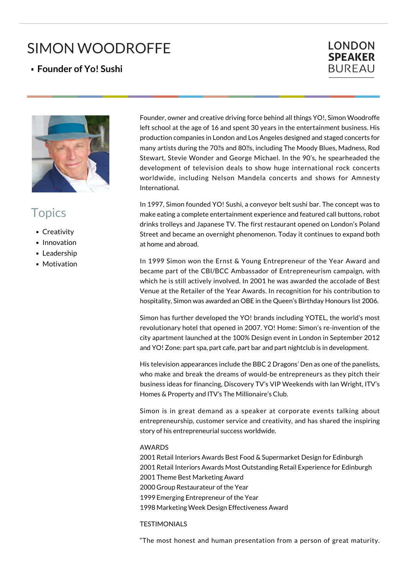# SIMON WOODROFFE

**Founder of Yo! Sushi**

### **LONDON SPEAKER BUREAU**



## **Topics**

- **Creativity**
- **Innovation**
- **Leadership**
- **Motivation**

Founder, owner and creative driving force behind all things YO!, Simon Woodroffe left school at the age of 16 and spent 30 years in the entertainment business. His production companies in London and Los Angeles designed and staged concerts for many artists during the 70 $\text{Im}$  and 80 $\text{Im}$ , including The Moody Blues, Madness, Rod Stewart, Stevie Wonder and George Michael. In the 90's, he spearheaded the development of television deals to show huge international rock concerts worldwide, including Nelson Mandela concerts and shows for Amnesty International.

In 1997, Simon founded YO! Sushi, a conveyor belt sushi bar. The concept was to make eating a complete entertainment experience and featured call buttons, robot drinks trolleys and Japanese TV. The first restaurant opened on London's Poland Street and became an overnight phenomenon. Today it continues to expand both at home and abroad.

In 1999 Simon won the Ernst & Young Entrepreneur of the Year Award and became part of the CBI/BCC Ambassador of Entrepreneurism campaign, with which he is still actively involved. In 2001 he was awarded the accolade of Best Venue at the Retailer of the Year Awards. In recognition for his contribution to hospitality, Simon was awarded an OBE in the Queen's Birthday Honours list 2006.

Simon has further developed the YO! brands including YOTEL, the world's most revolutionary hotel that opened in 2007. YO! Home: Simon's re-invention of the city apartment launched at the 100% Design event in London in September 2012 and YO! Zone: part spa, part cafe, part bar and part nightclub is in development.

His television appearances include the BBC 2 Dragons' Den as one of the panelists, who make and break the dreams of would-be entrepreneurs as they pitch their business ideas for financing, Discovery TV's VIP Weekends with Ian Wright, ITV's Homes & Property and ITV's The Millionaire's Club.

Simon is in great demand as a speaker at corporate events talking about entrepreneurship, customer service and creativity, and has shared the inspiring story of his entrepreneurial success worldwide.

### AWARDS

2001 Retail Interiors Awards Best Food & Supermarket Design for Edinburgh 2001 Retail Interiors Awards Most Outstanding Retail Experience for Edinburgh 2001 Theme Best Marketing Award 2000 Group Restaurateur of the Year 1999 Emerging Entrepreneur of the Year 1998 Marketing Week Design Effectiveness Award

#### TESTIMONIALS

"The most honest and human presentation from a person of great maturity.